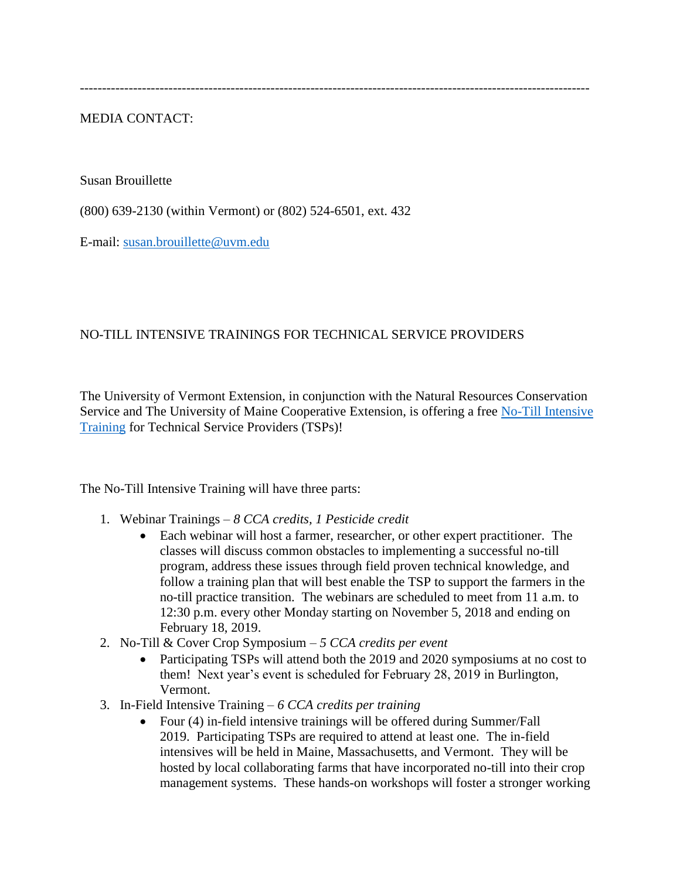-------------------------------------------------------------------------------------------------------------------

MEDIA CONTACT:

Susan Brouillette

(800) 639-2130 (within Vermont) or (802) 524-6501, ext. 432

E-mail: [susan.brouillette@uvm.edu](mailto:susan.brouillette@uvm.edu)

## NO-TILL INTENSIVE TRAININGS FOR TECHNICAL SERVICE PROVIDERS

The University of Vermont Extension, in conjunction with the Natural Resources Conservation Service and The University of Maine Cooperative Extension, is offering a free [No-Till Intensive](http://www.uvm.edu/extension/cropsoil/wp-content/uploads/PDPNoTill_Advertizment_FINAL.pdf)  [Training](http://www.uvm.edu/extension/cropsoil/wp-content/uploads/PDPNoTill_Advertizment_FINAL.pdf) for Technical Service Providers (TSPs)!

The No-Till Intensive Training will have three parts:

- 1. Webinar Trainings *8 CCA credits, 1 Pesticide credit*
	- Each webinar will host a farmer, researcher, or other expert practitioner. The classes will discuss common obstacles to implementing a successful no-till program, address these issues through field proven technical knowledge, and follow a training plan that will best enable the TSP to support the farmers in the no-till practice transition. The webinars are scheduled to meet from 11 a.m. to 12:30 p.m. every other Monday starting on November 5, 2018 and ending on February 18, 2019.
- 2. No-Till & Cover Crop Symposium *5 CCA credits per event*
	- Participating TSPs will attend both the 2019 and 2020 symposiums at no cost to them! Next year's event is scheduled for February 28, 2019 in Burlington, Vermont.
- 3. In-Field Intensive Training *6 CCA credits per training*
	- Four (4) in-field intensive trainings will be offered during Summer/Fall 2019. Participating TSPs are required to attend at least one. The in-field intensives will be held in Maine, Massachusetts, and Vermont. They will be hosted by local collaborating farms that have incorporated no-till into their crop management systems. These hands-on workshops will foster a stronger working